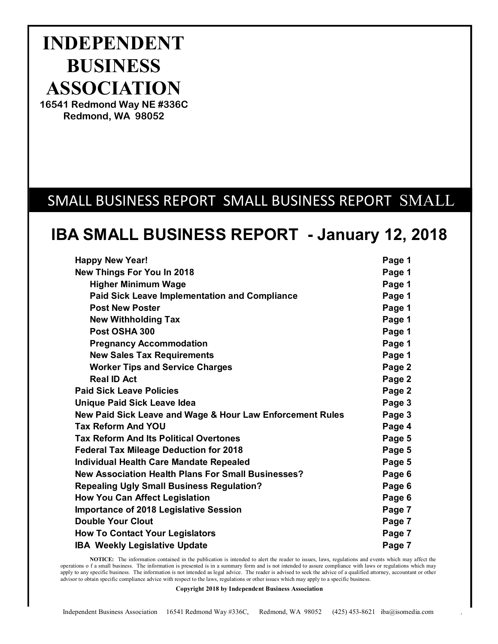# **INDEPENDENT BUSINESS ASSOCIATION**

16541 Redmond Way NE #336C Redmond, WA 98052

# SMALL BUSINESS REPORT SMALL BUSINESS REPORT SMALL

# **IBA SMALL BUSINESS REPORT - January 12, 2018**

| <b>Happy New Year!</b>                                    | Page 1 |
|-----------------------------------------------------------|--------|
| <b>New Things For You In 2018</b>                         | Page 1 |
| <b>Higher Minimum Wage</b>                                | Page 1 |
| <b>Paid Sick Leave Implementation and Compliance</b>      | Page 1 |
| <b>Post New Poster</b>                                    | Page 1 |
| <b>New Withholding Tax</b>                                | Page 1 |
| Post OSHA 300                                             | Page 1 |
| <b>Pregnancy Accommodation</b>                            | Page 1 |
| <b>New Sales Tax Requirements</b>                         | Page 1 |
| <b>Worker Tips and Service Charges</b>                    | Page 2 |
| <b>Real ID Act</b>                                        | Page 2 |
| <b>Paid Sick Leave Policies</b>                           | Page 2 |
| <b>Unique Paid Sick Leave Idea</b>                        | Page 3 |
| New Paid Sick Leave and Wage & Hour Law Enforcement Rules | Page 3 |
| <b>Tax Reform And YOU</b>                                 | Page 4 |
| <b>Tax Reform And Its Political Overtones</b>             | Page 5 |
| <b>Federal Tax Mileage Deduction for 2018</b>             | Page 5 |
| Individual Health Care Mandate Repealed                   | Page 5 |
| <b>New Association Health Plans For Small Businesses?</b> | Page 6 |
| <b>Repealing Ugly Small Business Regulation?</b>          | Page 6 |
| <b>How You Can Affect Legislation</b>                     | Page 6 |
| Importance of 2018 Legislative Session                    | Page 7 |
| <b>Double Your Clout</b>                                  | Page 7 |
| <b>How To Contact Your Legislators</b>                    | Page 7 |
| <b>IBA Weekly Legislative Update</b>                      | Page 7 |

**NOTICE:** The information contained in the publication is intended to alert the reader to issues, laws, regulations and events which may affect the operations o f a small business. The information is presented is in a summary form and is not intended to assure compliance with laws or regulations which may apply to any specific business. The information is not intended as legal advice. The reader is advised to seek the advice of a qualified attorney, accountant or other advisor to obtain specific compliance advice with respect to the laws, regulations or other issues which may apply to a specific business.

**Copyright 2018 by Independent Business Association**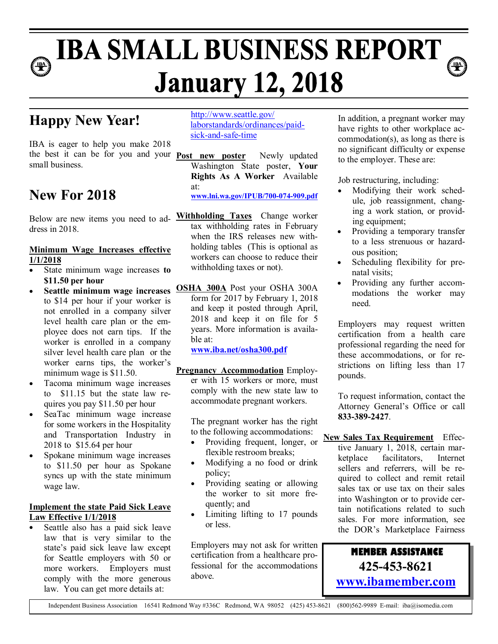# **IBA SMALL BUSINESS REPORT January 12, 2018**

# **Happy New Year!**

IBA is eager to help you make 2018 the best it can be for you and your **Post new poster** Newly updated small business.

### **New For 2018**

dress in 2018.

### **Minimum Wage Increases effective 1/1/2018**

- � State minimum wage increases **to \$11.50 per hour**
- to \$14 per hour if your worker is not enrolled in a company silver level health care plan or the employee does not earn tips. If the worker is enrolled in a company silver level health care plan or the worker earns tips, the worker's minimum wage is \$11.50.
- � Tacoma minimum wage increases to \$11.15 but the state law requires you pay \$11.50 per hour
- SeaTac minimum wage increase for some workers in the Hospitality and Transportation Industry in 2018 to \$15.64 per hour
- � Spokane minimum wage increases to \$11.50 per hour as Spokane syncs up with the state minimum wage law.

### **Implement the state Paid Sick Leave Law Effective 1/1/2018**

Seattle also has a paid sick leave law that is very similar to the state's paid sick leave law except for Seattle employers with 50 or more workers. Employers must comply with the more generous law. You can get more details at:

http://www.seattle.gov/ laborstandards/ordinances/paidsick-and-safe-time

Washington State poster, **Your Rights As A Worker** Available at:

**www.lni.wa.gov/IPUB/700-074-909.pdf**

- Below are new items you need to ad-**Withholding Taxes** Change worker tax withholding rates in February when the IRS releases new withholding tables (This is optional as workers can choose to reduce their withholding taxes or not).
- Seattle minimum wage increases **OSHA 300A** Post your OSHA 300A form for 2017 by February 1, 2018 and keep it posted through April, 2018 and keep it on file for 5 years. More information is available at:

**www.iba.net/osha300.pdf**

**Pregnancy Accommodation** Employer with 15 workers or more, must comply with the new state law to accommodate pregnant workers.

> The pregnant worker has the right to the following accommodations:

- flexible restroom breaks;
- Modifying a no food or drink policy;
- Providing seating or allowing the worker to sit more frequently; and
- Limiting lifting to 17 pounds or less.

Employers may not ask for written certification from a healthcare professional for the accommodations above.

In addition, a pregnant worker may have rights to other workplace accommodation(s), as long as there is no significant difficulty or expense to the employer. These are:

Job restructuring, including:

- Modifying their work schedule, job reassignment, changing a work station, or providing equipment;
- Providing a temporary transfer to a less strenuous or hazardous position;
- Scheduling flexibility for prenatal visits;
- Providing any further accommodations the worker may need.

Employers may request written certification from a health care professional regarding the need for these accommodations, or for restrictions on lifting less than 17 pounds.

To request information, contact the Attorney General's Office or call **833-389-2427**.

• Providing frequent, longer, or **New Sales Tax Requirement** Effective January 1, 2018, certain marketplace facilitators, Internet sellers and referrers, will be required to collect and remit retail sales tax or use tax on their sales into Washington or to provide certain notifications related to such sales. For more information, see the DOR's Marketplace Fairness

> **MEMBER ASSISTANCE 425-453-8621 www.ibamember.com**

Independent Business Association 16541 Redmond Way #336C Redmond, WA 98052 (425) 453-8621 (800)562-9989 E-mail: iba@isomedia.com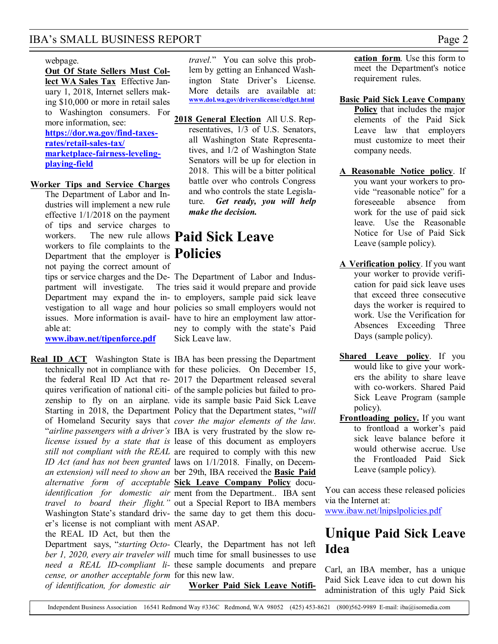### IBA's SMALL BUSINESS REPORT Page 2

### webpage.

**Out Of State Sellers Must Collect WA Sales Tax** Effective January 1, 2018, Internet sellers making \$10,000 or more in retail sales to Washington consumers. For more information, see: **https://dor.wa.gov/find-taxesrates/retail-sales-tax/ marketplace-fairness-levelingplaying-field**

### **Worker Tips and Service Charges**

The Department of Labor and Industries will implement a new rule effective 1/1/2018 on the payment of tips and service charges to workers. The new rule allows **Paid Sick Leave**  workers to file complaints to the Department that the employer is **Policies** not paying the correct amount of partment will investigate. able at:

**www.ibaw.net/tipenforce.pdf**

er's license is not compliant with ment ASAP. the REAL ID Act, but then the *cense, or another acceptable form*  for this new law. *of identification, for domestic air* 

*travel.*" You can solve this problem by getting an Enhanced Washington State Driver's License. More details are available at: **www.dol.wa.gov/driverslicense/edlget.html**

**2018 General Election** All U.S. Representatives, 1/3 of U.S. Senators, all Washington State Representatives, and 1/2 of Washington State Senators will be up for election in 2018. This will be a bitter political battle over who controls Congress and who controls the state Legislature. *Get ready, you will help make the decision.*

tips or service charges and the De-The Department of Labor and Indus-Department may expand the in-to employers, sample paid sick leave vestigation to all wage and hour policies so small employers would not issues. More information is avail-have to hire an employment law attor-The tries said it would prepare and provide ney to comply with the state's Paid Sick Leave law.

**Real ID ACT** Washington State is IBA has been pressing the Department technically not in compliance with for these policies. On December 15, the federal Real ID Act that re-2017 the Department released several quires verification of national citi-of the sample policies but failed to prozenship to fly on an airplane. vide its sample basic Paid Sick Leave Starting in 2018, the Department Policy that the Department states, "*will*  of Homeland Security says that *cover the major elements of the law*. "*airline passengers with a driver's*  IBA is very frustrated by the slow re*license issued by a state that is*  lease of this document as employers *still not compliant with the REAL*  are required to comply with this new *ID Act (and has not been granted*  laws on 1/1/2018. Finally, on Decem*an extension) will need to show an*  ber 29th, IBA received the **Basic Paid**  *alternative form of acceptable*  **Sick Leave Company Policy** docu*identification for domestic air*  ment from the Department.. IBA sent *travel to board their flight."* out a Special Report to IBA members Washington State's standard driv-the same day to get them this docu-

Department says, "*starting Octo-*Clearly, the Department has not left *ber 1, 2020, every air traveler will*  much time for small businesses to use *need a REAL ID-compliant li-*these sample documents and prepare

**Worker Paid Sick Leave Notifi-**

**cation form**. Use this form to meet the Department's notice requirement rules.

- **Basic Paid Sick Leave Company Policy** that includes the major elements of the Paid Sick Leave law that employers must customize to meet their company needs.
- **A Reasonable Notice policy**. If you want your workers to provide "reasonable notice" for a foreseeable absence from work for the use of paid sick leave. Use the Reasonable Notice for Use of Paid Sick Leave (sample policy).
- **A Verification policy**. If you want your worker to provide verification for paid sick leave uses that exceed three consecutive days the worker is required to work. Use the Verification for Absences Exceeding Three Days (sample policy).
- **Shared Leave policy**. If you would like to give your workers the ability to share leave with co-workers. Shared Paid Sick Leave Program (sample policy).
- **Frontloading policy.** If you want to frontload a worker's paid sick leave balance before it would otherwise accrue. Use the Frontloaded Paid Sick Leave (sample policy).

You can access these released policies via the Internet at:

www.ibaw.net/lnipslpolicies.pdf

### **Unique Paid Sick Leave Idea**

Carl, an IBA member, has a unique Paid Sick Leave idea to cut down his administration of this ugly Paid Sick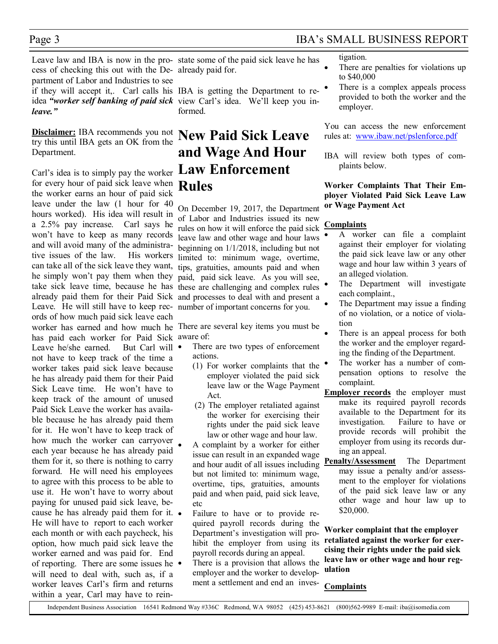### Page 3 IBA's SMALL BUSINESS REPORT

Leave law and IBA is now in the pro-state some of the paid sick leave he has cess of checking this out with the De-already paid for. partment of Labor and Industries to see if they will accept it,. Carl calls his IBA is getting the Department to reidea "worker self banking of paid sick view Carl's idea. We'll keep you in*leave."* 

**Disclaimer:** IBA recommends you not try this until IBA gets an OK from the Department.

Carl's idea is to simply pay the worker for every hour of paid sick leave when the worker earns an hour of paid sick leave under the law (1 hour for 40 hours worked). His idea will result in a 2.5% pay increase. Carl says he won't have to keep as many records and will avoid many of the administrative issues of the law. His workers can take all of the sick leave they want, he simply won't pay them when they take sick leave time, because he has these are challenging and complex rules already paid them for their Paid Sick and processes to deal with and present a Leave. He will still have to keep rec-number of important concerns for you. ords of how much paid sick leave each worker has earned and how much he There are several key items you must be has paid each worker for Paid Sick aware of: Leave he/she earned. But Carl will • not have to keep track of the time a worker takes paid sick leave because he has already paid them for their Paid Sick Leave time. He won't have to keep track of the amount of unused Paid Sick Leave the worker has available because he has already paid them for it. He won't have to keep track of how much the worker can carryover each year because he has already paid them for it, so there is nothing to carry forward. He will need his employees to agree with this process to be able to use it. He won't have to worry about paying for unused paid sick leave, because he has already paid them for it. He will have to report to each worker each month or with each paycheck, his option, how much paid sick leave the worker earned and was paid for. End of reporting. There are some issues he will need to deal with, such as, if a worker leaves Carl's firm and returns within a year, Carl may have to rein-

formed.

# **New Paid Sick Leave and Wage And Hour Law Enforcement Rules**

On December 19, 2017, the Department of Labor and Industries issued its new rules on how it will enforce the paid sick leave law and other wage and hour laws beginning on 1/1/2018, including but not limited to: minimum wage, overtime, tips, gratuities, amounts paid and when paid, paid sick leave. As you will see,

- There are two types of enforcement actions.
	- (1) For worker complaints that the employer violated the paid sick leave law or the Wage Payment Act.
	- (2) The employer retaliated against the worker for exercising their rights under the paid sick leave law or other wage and hour law.
- � A complaint by a worker for either issue can result in an expanded wage and hour audit of all issues including but not limited to: minimum wage, overtime, tips, gratuities, amounts paid and when paid, paid sick leave, etc
- � Failure to have or to provide required payroll records during the Department's investigation will prohibit the employer from using its payroll records during an appeal.
- There is a provision that allows the employer and the worker to development a settlement and end an inves-

tigation.

- There are penalties for violations up to \$40,000
- There is a complex appeals process provided to both the worker and the employer.

You can access the new enforcement rules at: www.ibaw.net/pslenforce.pdf

IBA will review both types of complaints below.

### **Worker Complaints That Their Employer Violated Paid Sick Leave Law or Wage Payment Act**

### **Complaints**

- � A worker can file a complaint against their employer for violating the paid sick leave law or any other wage and hour law within 3 years of an alleged violation.
- The Department will investigate each complaint.,
- The Department may issue a finding of no violation, or a notice of violation
- There is an appeal process for both the worker and the employer regarding the finding of the Department.
- The worker has a number of compensation options to resolve the complaint.
- **Employer records** the employer must make its required payroll records available to the Department for its investigation. Failure to have or provide records will prohibit the employer from using its records during an appeal.
- **Penalty/Assessment** The Department may issue a penalty and/or assessment to the employer for violations of the paid sick leave law or any other wage and hour law up to \$20,000.

**Worker complaint that the employer retaliated against the worker for exercising their rights under the paid sick leave law or other wage and hour regulation**

### **Complaints**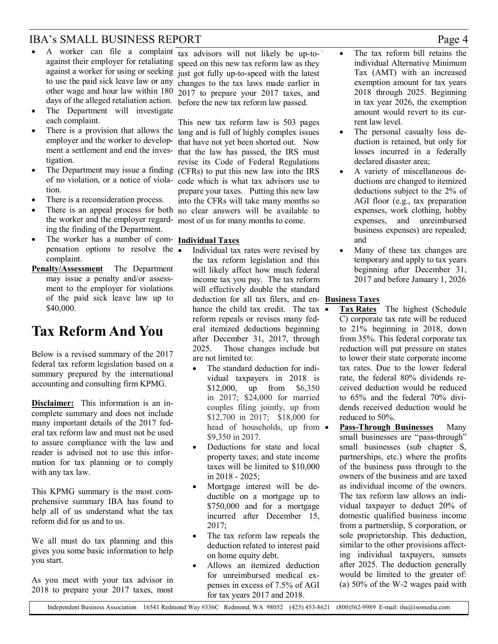### IBA's SMALL BUSINESS REPORT Page 4

- A worker can file a complaint tax advisors will not likely be up-toto use the paid sick leave law or any other wage and hour law within 180
- The Department will investigate each complaint.
- There is a provision that allows the long and is full of highly complex issues tigation.
- The Department may issue a finding (CFRs) to put this new law into the IRS of no violation, or a notice of violation.
- There is a reconsideration process.
- � There is an appeal process for both no clear answers will be available to the worker and the employer regard-most of us for many months to come. ing the finding of the Department.
- � The worker has a number of com-**Individual Taxes** pensation options to resolve the  $\overline{\bullet}$ complaint.
- **Penalty/Assessment** The Department may issue a penalty and/or assessment to the employer for violations of the paid sick leave law up to \$40,000.

## **Tax Reform And You**

Below is a revised summary of the 2017 federal tax reform legislation based on a summary prepared by the international accounting and consulting firm KPMG.

**Disclaimer:** This information is an incomplete summary and does not include many important details of the 2017 federal tax reform law and must not be used to assure compliance with the law and reader is advised not to use this information for tax planning or to comply with any tax law.

This KPMG summary is the most comprehensive summary IBA has found to help all of us understand what the tax reform did for us and to us.

We all must do tax planning and this gives you some basic information to help you start.

As you meet with your tax advisor in 2018 to prepare your 2017 taxes, most

against their employer for retaliating speed on this new tax reform law as they against a worker for using or seeking just got fully up-to-speed with the latest days of the alleged retaliation action. before the new tax reform law passed. changes to the tax laws made earlier in 2017 to prepare your 2017 taxes, and

employer and the worker to develop- that have not yet been shorted out. Now ment a settlement and end the inves-that the law has passed, the IRS must This new tax reform law is 503 pages revise its Code of Federal Regulations code which is what tax advisors use to prepare your taxes. Putting this new law into the CFRs will take many months so

- � Individual tax rates were revised by the tax reform legislation and this will likely affect how much federal income tax you pay. The tax reform will effectively double the standard deduction for all tax filers, and en-**Business Taxes** hance the child tax credit. The tax  $\overline{\bullet}$ reform repeals or revises many federal itemized deductions beginning after December 31, 2017, through 2025. Those changes include but are not limited to:
	- The standard deduction for individual taxpayers in 2018 is \$12,000, up from \$6,350 in 2017; \$24,000 for married couples filing jointly, up from \$12,700 in 2017; \$18,000 for head of households, up from  $\bullet$ \$9,350 in 2017.
	- Deductions for state and local property taxes; and state income taxes will be limited to \$10,000 in 2018 - 2025;
	- � Mortgage interest will be deductible on a mortgage up to \$750,000 and for a mortgage incurred after December 15, 2017;
	- The tax reform law repeals the deduction related to interest paid on home equity debt.
	- � Allows an itemized deduction for unreimbursed medical expenses in excess of 7.5% of AGI for tax years 2017 and 2018.
- The tax reform bill retains the individual Alternative Minimum Tax (AMT) with an increased exemption amount for tax years 2018 through 2025. Beginning in tax year 2026, the exemption amount would revert to its current law level.
- The personal casualty loss deduction is retained, but only for losses incurred in a federally declared disaster area;
- � A variety of miscellaneous deductions are changed to itemized deductions subject to the 2% of AGI floor (e.g., tax preparation expenses, work clothing, hobby expenses, and unreimbursed business expenses) are repealed; and
- Many of these tax changes are temporary and apply to tax years beginning after December 31, 2017 and before January 1, 2026

- � **Tax Rates** The highest (Schedule C) corporate tax rate will be reduced to 21% beginning in 2018, down from 35%. This federal corporate tax reduction will put pressure on states to lower their state corporate income tax rates. Due to the lower federal rate, the federal 80% dividends received deduction would be reduced to 65% and the federal 70% dividends received deduction would be reduced to 50%.
- � **Pass-Through Businesses** Many small businesses are "pass-through" small businesses (sub chapter S, partnerships, etc.) where the profits of the business pass through to the owners of the business and are taxed as individual income of the owners. The tax reform law allows an individual taxpayer to deduct 20% of domestic qualified business income from a partnership, S corporation, or sole proprietorship. This deduction, similar to the other provisions affecting individual taxpayers, sunsets after 2025. The deduction generally would be limited to the greater of: (a) 50% of the W-2 wages paid with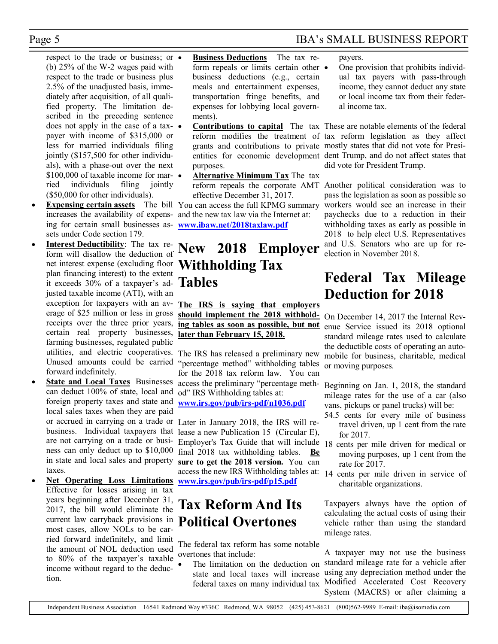respect to the trade or business; or  $\bullet$ (b) 25% of the W-2 wages paid with respect to the trade or business plus 2.5% of the unadjusted basis, immediately after acquisition, of all qualified property. The limitation described in the preceding sentence does not apply in the case of a taxpayer with income of \$315,000 or less for married individuals filing jointly (\$157,500 for other individuals), with a phase-out over the next \$100,000 of taxable income for mar-  $\bullet$ ried individuals filing jointly (\$50,000 for other individuals).

- **Expensing certain assets** The bill You can access the full KPMG summary ing for certain small businesses as-**www.ibaw.net/2018taxlaw.pdf** sets under Code section 179.
- **Interest Deductibility**: The tax reform will disallow the deduction of net interest expense (excluding floor plan financing interest) to the extent it exceeds 30% of a taxpayer's adjusted taxable income (ATI), with an exception for taxpayers with an average of \$25 million or less in gross receipts over the three prior years, certain real property businesses, farming businesses, regulated public Unused amounts could be carried forward indefinitely.
- **State and Local Taxes** Businesses can deduct 100% of state, local and foreign property taxes and state and local sales taxes when they are paid business. Individual taxpayers that are not carrying on a trade or business can only deduct up to \$10,000 in state and local sales and property taxes.
- � **Net Operating Loss Limitations** Effective for losses arising in tax years beginning after December 31, 2017, the bill would eliminate the current law carryback provisions in most cases, allow NOLs to be carried forward indefinitely, and limit the amount of NOL deduction used to 80% of the taxpayer's taxable income without regard to the deduction.

� **Business Deductions** The tax reform repeals or limits certain other  $\bullet$ business deductions (e.g., certain meals and entertainment expenses, transportation fringe benefits, and expenses for lobbying local governments).

- purposes.
- � **Alternative Minimum Tax** The tax effective December 31, 2017.

increases the availability of expens-and the new tax law via the Internet at:

## **New 2018 Employer Withholding Tax Tables**

**The IRS is saying that employers should implement the 2018 withholding tables as soon as possible, but not later than February 15, 2018.** 

utilities, and electric cooperatives. The IRS has released a preliminary new "percentage method" withholding tables for the 2018 tax reform law. You can access the preliminary "percentage method" IRS Withholding tables at: **www.irs.gov/pub/irs-pdf/n1036.pdf**

or accrued in carrying on a trade or Later in January 2018, the IRS will release a new Publication 15 (Circular E), Employer's Tax Guide that will include 18 cents per mile driven for medical or final 2018 tax withholding tables. **Be sure to get the 2018 version.** You can access the new IRS Withholding tables at: 14 cents per mile driven in service of **www.irs.gov/pub/irs-pdf/p15.pdf**

# **Tax Reform And Its Political Overtones**

The federal tax reform has some notable overtones that include:

The limitation on the deduction on state and local taxes will increase federal taxes on many individual tax

### Page 5 IBA's SMALL BUSINESS REPORT

payers.

� One provision that prohibits individual tax payers with pass-through income, they cannot deduct any state or local income tax from their federal income tax.

� **Contributions to capital** The tax These are notable elements of the federal reform modifies the treatment of tax reform legislation as they affect grants and contributions to private mostly states that did not vote for Presientities for economic development dent Trump, and do not affect states that did vote for President Trump.

reform repeals the corporate AMT Another political consideration was to pass the legislation as soon as possible so workers would see an increase in their paychecks due to a reduction in their withholding taxes as early as possible in 2018 to help elect U.S. Representatives and U.S. Senators who are up for reelection in November 2018.

# **Federal Tax Mileage Deduction for 2018**

On December 14, 2017 the Internal Revenue Service issued its 2018 optional standard mileage rates used to calculate the deductible costs of operating an automobile for business, charitable, medical or moving purposes.

Beginning on Jan. 1, 2018, the standard mileage rates for the use of a car (also vans, pickups or panel trucks) will be:

- 54.5 cents for every mile of business travel driven, up 1 cent from the rate for 2017.
- moving purposes, up 1 cent from the rate for 2017.
- charitable organizations.

Taxpayers always have the option of calculating the actual costs of using their vehicle rather than using the standard mileage rates.

A taxpayer may not use the business standard mileage rate for a vehicle after using any depreciation method under the Modified Accelerated Cost Recovery System (MACRS) or after claiming a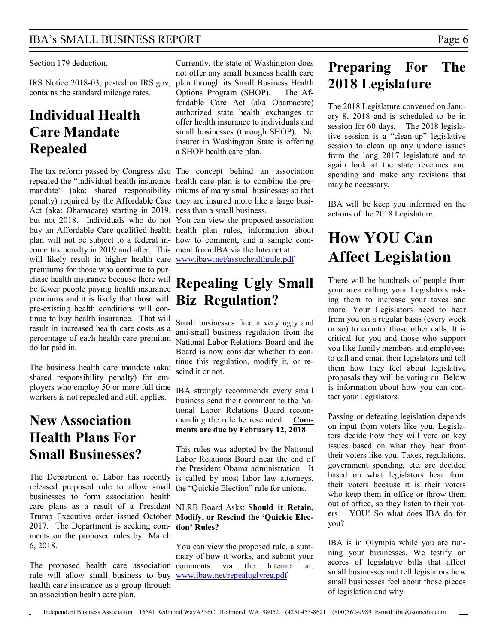### IBA's SMALL BUSINESS REPORT Page 6

### Section 179 deduction.

contains the standard mileage rates.

### **Individual Health Care Mandate Repealed**

The tax reform passed by Congress also The concept behind an association repealed the "individual health insurance health care plan is to combine the premandate" (aka: shared responsibility miums of many small businesses so that penalty) required by the Affordable Care they are insured more like a large busi-Act (aka: Obamacare) starting in 2019, ness than a small business. but not 2018. Individuals who do not You can view the proposed association buy an Affordable Care qualified health health plan rules, information about plan will not be subject to a federal in-how to comment, and a sample comcome tax penalty in 2019 and after. This ment from IBA via the Internet at: will likely result in higher health care **www.ibaw.net/assochealthrule.pdf** premiums for those who continue to purchase health insurance because there will be fewer people paying health insurance premiums and it is likely that those with **Biz Regulation?** pre-existing health conditions will continue to buy health insurance. That will result in increased health care costs as a percentage of each health care premium dollar paid in.

The business health care mandate (aka: shared responsibility penalty) for employers who employ 50 or more full time workers is not repealed and still applies.

### **New Association Health Plans For Small Businesses?**

released proposed rule to allow small the "Quickie Election" rule for unions. businesses to form association health care plans as a result of a President NLRB Board Asks: **Should it Retain,**  Trump Executive order issued October **Modify, or Rescind the 'Quickie Elec-**2017. The Department is seeking com-**tion' Rules?** ments on the proposed rules by March 6, 2018.

The proposed health care association comments via the Internet at: rule will allow small business to buy www.ibaw.net/repealuglyreg.pdf health care insurance as a group through an association health care plan.

IRS Notice 2018-03, posted on IRS.gov, plan through its Small Business Health Currently, the state of Washington does not offer any small business health care Options Program (SHOP). The Affordable Care Act (aka Obamacare) authorized state health exchanges to offer health insurance to individuals and small businesses (through SHOP). No insurer in Washington State is offering a SHOP health care plan.

# **Repealing Ugly Small**

Small businesses face a very ugly and anti-small business regulation from the National Labor Relations Board and the Board is now consider whether to continue this regulation, modify it, or rescind it or not.

IBA strongly recommends every small business send their comment to the National Labor Relations Board recommending the rule be rescinded. **Comments are due by February 12, 2018**

The Department of Labor has recently is called by most labor law attorneys, This rules was adopted by the National Labor Relations Board near the end of the President Obama administration. It

You can view the proposed rule, a summary of how it works, and submit your

# **Preparing For The 2018 Legislature**

The 2018 Legislature convened on January 8, 2018 and is scheduled to be in session for 60 days. The 2018 legislative session is a "clean-up" legislative session to clean up any undone issues from the long 2017 legislature and to again look at the state revenues and spending and make any revisions that may be necessary.

IBA will be keep you informed on the actions of the 2018 Legislature.

# **How YOU Can Affect Legislation**

There will be hundreds of people from your area calling your Legislators asking them to increase your taxes and more. Your Legislators need to hear from you on a regular basis (every week or so) to counter those other calls. It is critical for you and those who support you like family members and employees to call and email their legislators and tell them how they feel about legislative proposals they will be voting on. Below is information about how you can contact your Legislators.

Passing or defeating legislation depends on input from voters like you. Legislators decide how they will vote on key issues based on what they hear from their voters like you. Taxes, regulations, government spending, etc. are decided based on what legislators hear from their voters because it is their voters who keep them in office or throw them out of office, so they listen to their voters – YOU! So what does IBA do for you?

IBA is in Olympia while you are running your businesses. We testify on scores of legislative bills that affect small businesses and tell legislators how small businesses feel about those pieces of legislation and why.